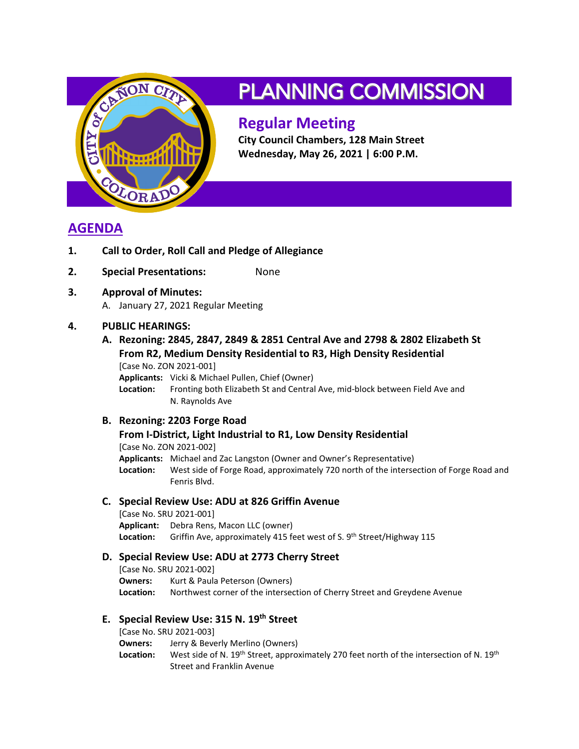

# PLANNING COMMISSION

# **Regular Meeting**

**City Council Chambers, 128 Main Street Wednesday, May 26, 2021 | 6:00 P.M.**

# **AGENDA**

- **1. Call to Order, Roll Call and Pledge of Allegiance**
- **2. Special Presentations:** None
- **3. Approval of Minutes:** A. January 27, 2021 Regular Meeting

## **4. PUBLIC HEARINGS:**

**A. Rezoning: 2845, 2847, 2849 & 2851 Central Ave and 2798 & 2802 Elizabeth St From R2, Medium Density Residential to R3, High Density Residential** [Case No. ZON 2021-001] **Applicants:** Vicki & Michael Pullen, Chief (Owner) **Location:** Fronting both Elizabeth St and Central Ave, mid-block between Field Ave and

N. Raynolds Ave

## **B. Rezoning: 2203 Forge Road**

**From I-District, Light Industrial to R1, Low Density Residential** [Case No. ZON 2021-002] **Applicants:** Michael and Zac Langston (Owner and Owner's Representative) **Location:** West side of Forge Road, approximately 720 north of the intersection of Forge Road and Fenris Blvd.

#### **C. Special Review Use: ADU at 826 Griffin Avenue**

[Case No. SRU 2021-001] **Applicant:** Debra Rens, Macon LLC (owner) Location: Griffin Ave, approximately 415 feet west of S. 9<sup>th</sup> Street/Highway 115

#### **D. Special Review Use: ADU at 2773 Cherry Street**

[Case No. SRU 2021-002] **Owners:** Kurt & Paula Peterson (Owners) **Location:** Northwest corner of the intersection of Cherry Street and Greydene Avenue

### **E. Special Review Use: 315 N. 19th Street**

[Case No. SRU 2021-003]

**Owners:** Jerry & Beverly Merlino (Owners)

Location: West side of N. 19<sup>th</sup> Street, approximately 270 feet north of the intersection of N. 19<sup>th</sup> Street and Franklin Avenue